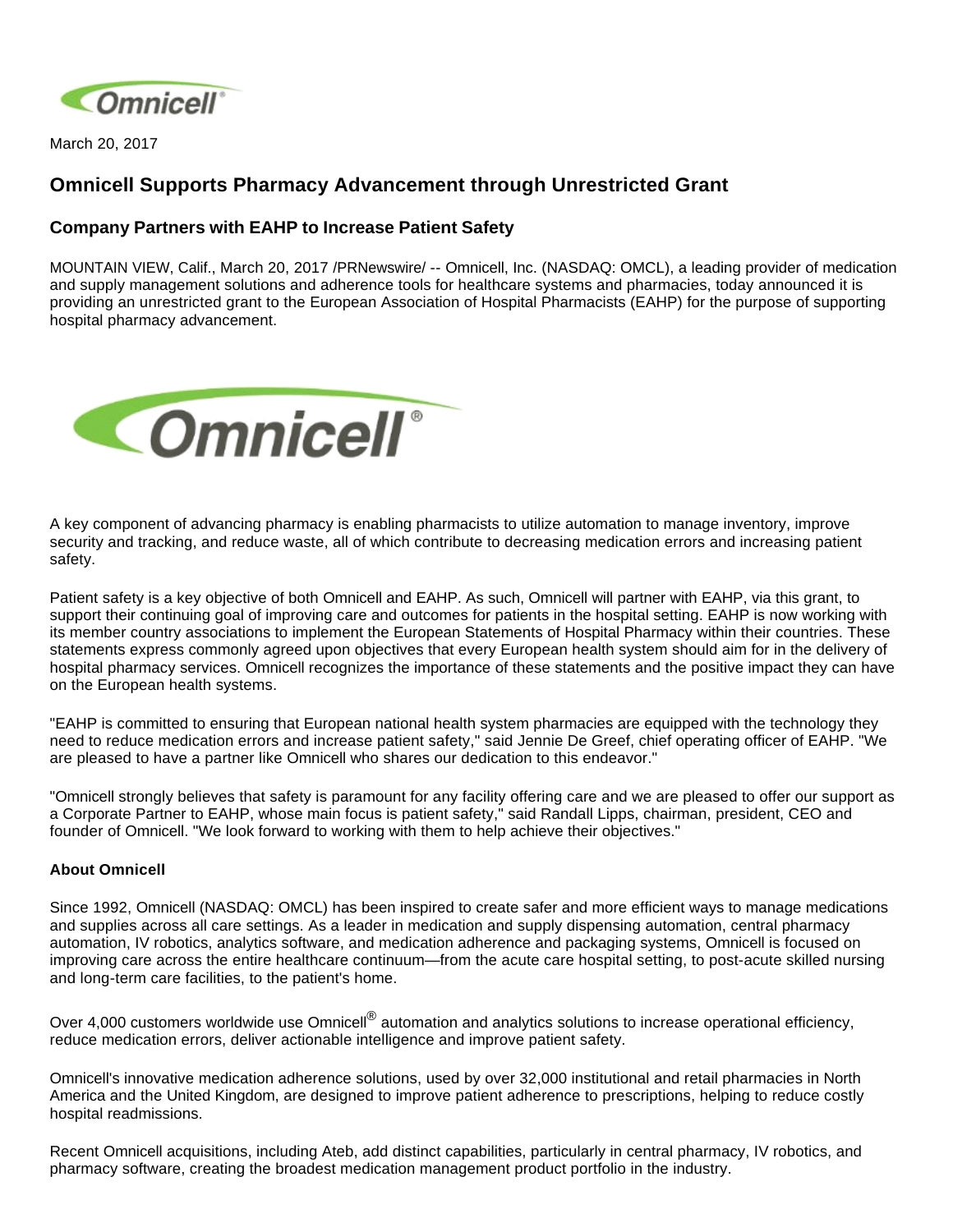

March 20, 2017

## **Omnicell Supports Pharmacy Advancement through Unrestricted Grant**

## **Company Partners with EAHP to Increase Patient Safety**

MOUNTAIN VIEW, Calif., March 20, 2017 /PRNewswire/ -- Omnicell, Inc. (NASDAQ: OMCL), a leading provider of medication and supply management solutions and adherence tools for healthcare systems and pharmacies, today announced it is providing an unrestricted grant to the European Association of Hospital Pharmacists (EAHP) for the purpose of supporting hospital pharmacy advancement.



A key component of advancing pharmacy is enabling pharmacists to utilize automation to manage inventory, improve security and tracking, and reduce waste, all of which contribute to decreasing medication errors and increasing patient safety.

Patient safety is a key objective of both Omnicell and EAHP. As such, Omnicell will partner with EAHP, via this grant, to support their continuing goal of improving care and outcomes for patients in the hospital setting. EAHP is now working with its member country associations to implement the European Statements of Hospital Pharmacy within their countries. These statements express commonly agreed upon objectives that every European health system should aim for in the delivery of hospital pharmacy services. Omnicell recognizes the importance of these statements and the positive impact they can have on the European health systems.

"EAHP is committed to ensuring that European national health system pharmacies are equipped with the technology they need to reduce medication errors and increase patient safety," said Jennie De Greef, chief operating officer of EAHP. "We are pleased to have a partner like Omnicell who shares our dedication to this endeavor."

"Omnicell strongly believes that safety is paramount for any facility offering care and we are pleased to offer our support as a Corporate Partner to EAHP, whose main focus is patient safety," said Randall Lipps, chairman, president, CEO and founder of Omnicell. "We look forward to working with them to help achieve their objectives."

## **About Omnicell**

Since 1992, Omnicell (NASDAQ: OMCL) has been inspired to create safer and more efficient ways to manage medications and supplies across all care settings. As a leader in medication and supply dispensing automation, central pharmacy automation, IV robotics, analytics software, and medication adherence and packaging systems, Omnicell is focused on improving care across the entire healthcare continuum—from the acute care hospital setting, to post-acute skilled nursing and long-term care facilities, to the patient's home.

Over 4,000 customers worldwide use Omnicell<sup>®</sup> automation and analytics solutions to increase operational efficiency, reduce medication errors, deliver actionable intelligence and improve patient safety.

Omnicell's innovative medication adherence solutions, used by over 32,000 institutional and retail pharmacies in North America and the United Kingdom, are designed to improve patient adherence to prescriptions, helping to reduce costly hospital readmissions.

Recent Omnicell acquisitions, including Ateb, add distinct capabilities, particularly in central pharmacy, IV robotics, and pharmacy software, creating the broadest medication management product portfolio in the industry.